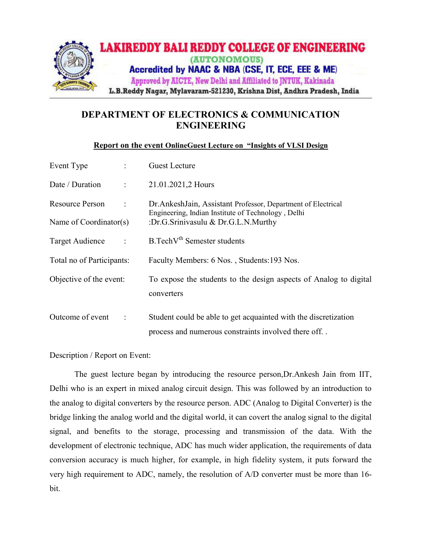

## DEPARTMENT OF ELECTRONICS & COMMUNICATION ENGINEERING

## Report on the event OnlineGuest Lecture on "Insights of VLSI Design

| Event Type                         | <b>Guest Lecture</b>                                                                                                |
|------------------------------------|---------------------------------------------------------------------------------------------------------------------|
| Date / Duration<br>$\ddot{\cdot}$  | 21.01.2021,2 Hours                                                                                                  |
| Resource Person<br>$\ddot{\cdot}$  | Dr. AnkeshJain, Assistant Professor, Department of Electrical<br>Engineering, Indian Institute of Technology, Delhi |
| Name of $Coordinator(s)$           | :Dr.G.Srinivasulu & Dr.G.L.N.Murthy                                                                                 |
| Target Audience<br>$\ddot{\cdot}$  | $B.TechVth$ Semester students                                                                                       |
| Total no of Participants:          | Faculty Members: 6 Nos., Students: 193 Nos.                                                                         |
| Objective of the event:            | To expose the students to the design aspects of Analog to digital                                                   |
|                                    | converters                                                                                                          |
| Outcome of event<br>$\ddot{\cdot}$ | Student could be able to get acquainted with the discretization                                                     |
|                                    | process and numerous constraints involved there off                                                                 |

Description / Report on Event:

The guest lecture began by introducing the resource person,Dr.Ankesh Jain from IIT, Delhi who is an expert in mixed analog circuit design. This was followed by an introduction to the analog to digital converters by the resource person. ADC (Analog to Digital Converter) is the bridge linking the analog world and the digital world, it can covert the analog signal to the digital signal, and benefits to the storage, processing and transmission of the data. With the development of electronic technique, ADC has much wider application, the requirements of data conversion accuracy is much higher, for example, in high fidelity system, it puts forward the very high requirement to ADC, namely, the resolution of A/D converter must be more than 16 bit.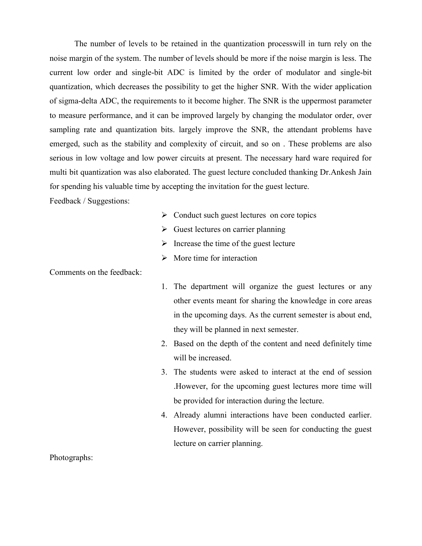The number of levels to be retained in the quantization processwill in turn rely on the noise margin of the system. The number of levels should be more if the noise margin is less. The current low order and single-bit ADC is limited by the order of modulator and single-bit quantization, which decreases the possibility to get the higher SNR. With the wider application of sigma-delta ADC, the requirements to it become higher. The SNR is the uppermost parameter to measure performance, and it can be improved largely by changing the modulator order, over sampling rate and quantization bits. largely improve the SNR, the attendant problems have emerged, such as the stability and complexity of circuit, and so on . These problems are also serious in low voltage and low power circuits at present. The necessary hard ware required for multi bit quantization was also elaborated. The guest lecture concluded thanking Dr.Ankesh Jain for spending his valuable time by accepting the invitation for the guest lecture.

Feedback / Suggestions:

- $\triangleright$  Conduct such guest lectures on core topics
- $\triangleright$  Guest lectures on carrier planning
- $\triangleright$  Increase the time of the guest lecture
- $\triangleright$  More time for interaction

Comments on the feedback:

- 1. The department will organize the guest lectures or any other events meant for sharing the knowledge in core areas in the upcoming days. As the current semester is about end, they will be planned in next semester.
- 2. Based on the depth of the content and need definitely time will be increased.
- 3. The students were asked to interact at the end of session .However, for the upcoming guest lectures more time will be provided for interaction during the lecture.
- 4. Already alumni interactions have been conducted earlier. However, possibility will be seen for conducting the guest lecture on carrier planning.

Photographs: